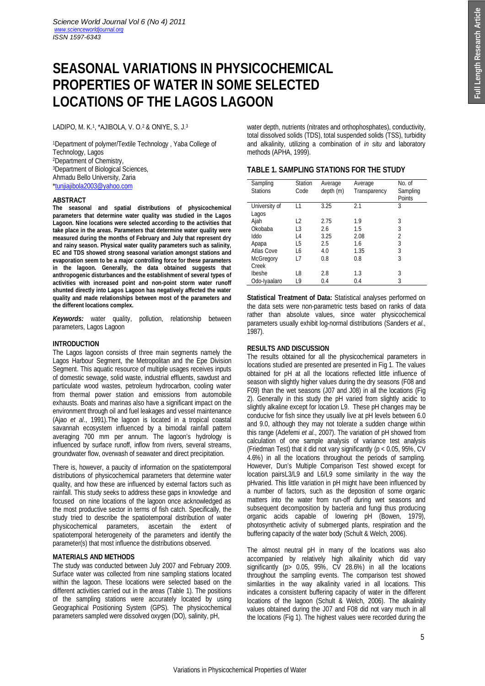# **SEASONAL VARIATIONS IN PHYSICOCHEMICAL PROPERTIES OF WATER IN SOME SELECTED LOCATIONS OF THE LAGOS LAGOON**

LADIPO, M. K.<sup>1</sup> , \*AJIBOLA, V. O.<sup>2</sup> & ONIYE, S. J.<sup>3</sup>

<sup>1</sup>Department of polymer/Textile Technology , Yaba College of Technology, Lagos <sup>2</sup>Department of Chemistry, <sup>3</sup>Department of Biological Sciences, Ahmadu Bello University, Zaria \*tunjiajibola2003@yahoo.com

#### **ABSTRACT**

**The seasonal and spatial distributions of physicochemical parameters that determine water quality was studied in the Lagos Lagoon. Nine locations were selected according to the activities that take place in the areas. Parameters that determine water quality were measured during the months of February and July that represent dry and rainy season. Physical water quality parameters such as salinity, EC and TDS showed strong seasonal variation amongst stations and evaporation seem to be a major controlling force for these parameters in the lagoon. Generally, the data obtained suggests that anthropogenic disturbances and the establishment of several types of activities with increased point and non-point storm water runoff shunted directly into Lagos Lagoon has negatively affected the water quality and made relationships between most of the parameters and the different locations complex.**

*Keywords:* water quality, pollution, relationship between parameters, Lagos Lagoon

# **INTRODUCTION**

The Lagos lagoon consists of three main segments namely the Lagos Harbour Segment, the Metropolitan and the Epe Division Segment. This aquatic resource of multiple usages receives inputs of domestic sewage, solid waste, industrial effluents, sawdust and particulate wood wastes, petroleum hydrocarbon, cooling water from thermal power station and emissions from automobile exhausts. Boats and marinas also have a significant impact on the environment through oil and fuel leakages and vessel maintenance (Ajao *et al*., 1991).The lagoon is located in a tropical coastal savannah ecosystem influenced by a bimodal rainfall pattern averaging 700 mm per annum. The lagoon's hydrology is influenced by surface runoff, inflow from rivers, several streams, groundwater flow, overwash of seawater and direct precipitation.

There is, however, a paucity of information on the spatiotemporal distributions of physicochemical parameters that determine water quality, and how these are influenced by external factors such as rainfall. This study seeks to address these gaps in knowledge and focused on nine locations of the lagoon once acknowledged as the most productive sector in terms of fish catch. Specifically, the study tried to describe the spatiotemporal distribution of water physicochemical parameters, ascertain the extent of spatiotemporal heterogeneity of the parameters and identify the parameter(s) that most influence the distributions observed.

# **MATERIALS AND METHODS**

The study was conducted between July 2007 and February 2009. Surface water was collected from nine sampling stations located within the lagoon. These locations were selected based on the different activities carried out in the areas (Table 1). The positions of the sampling stations were accurately located by using Geographical Positioning System (GPS). The physicochemical parameters sampled were dissolved oxygen (DO), salinity, pH,

water depth, nutrients (nitrates and orthophosphates), conductivity, total dissolved solids (TDS), total suspended solids (TSS), turbidity and alkalinity, utilizing a combination of *in situ* and laboratory methods (APHA, 1999).

# **TABLE 1. SAMPLING STATIONS FOR THE STUDY**

| Sampling<br><b>Stations</b> | <b>Station</b><br>Code | Average<br>depth (m) | Average<br>Transparency | No. of<br>Sampling<br>Points |
|-----------------------------|------------------------|----------------------|-------------------------|------------------------------|
| University of<br>Lagos      | $\overline{1}$         | 3.25                 | 2.1                     | 3                            |
| Ajah                        | L <sub>2</sub>         | 2.75                 | 1.9                     | 3                            |
| Okobaba                     | L3                     | 2.6                  | 1.5                     | 3                            |
| Iddo                        | L <sub>4</sub>         | 3.25                 | 2.08                    | $\overline{2}$               |
| Apapa                       | L5                     | 2.5                  | 1.6                     | 3                            |
| <b>Atlas Cove</b>           | L6                     | 4.0                  | 1.35                    | 3                            |
| <b>McGregory</b>            | L7                     | 0.8                  | 0.8                     | 3                            |
| Creek                       |                        |                      |                         |                              |
| Ibeshe                      | L8                     | 2.8                  | 1.3                     | 3                            |
| Odo-Iyaalaro                | L9                     | 0.4                  | 0.4                     | 3                            |

**Statistical Treatment of Data:** Statistical analyses performed on the data sets were non-parametric tests based on ranks of data rather than absolute values, since water physicochemical parameters usually exhibit log-normal distributions (Sanders *et al*., 1987).

# **RESULTS AND DISCUSSION**

The results obtained for all the physicochemical parameters in locations studied are presented are presented in Fig 1. The values obtained for pH at all the locations reflected little influence of season with slightly higher values during the dry seasons (F08 and F09) than the wet seasons (J07 and J08) in all the locations (Fig 2). Generally in this study the pH varied from slightly acidic to slightly alkaline except for location L9. These pH changes may be conducive for fish since they usually live at pH levels between 6.0 and 9.0, although they may not tolerate a sudden change within this range (Adefemi *et al*., 2007). The variation of pH showed from calculation of one sample analysis of variance test analysis (Friedman Test) that it did not vary significantly (p < 0.05, 95%, CV 4.6%) in all the locations throughout the periods of sampling. However, Dun's Multiple Comparison Test showed except for location pairsL3/L9 and L6/L9 some similarity in the way the pHvaried. This little variation in pH might have been influenced by a number of factors, such as the deposition of some organic matters into the water from run-off during wet seasons and subsequent decomposition by bacteria and fungi thus producing organic acids capable of lowering pH (Bowen, 1979), photosynthetic activity of submerged plants, respiration and the buffering capacity of the water body (Schult & Welch, 2006).

The almost neutral pH in many of the locations was also accompanied by relatively high alkalinity which did vary significantly (p> 0.05, 95%, CV 28.6%) in all the locations throughout the sampling events. The comparison test showed similarities in the way alkalinity varied in all locations. This indicates a consistent buffering capacity of water in the different locations of the lagoon (Schult & Welch, 2006). The alkalinity values obtained during the J07 and F08 did not vary much in all the locations (Fig 1). The highest values were recorded during the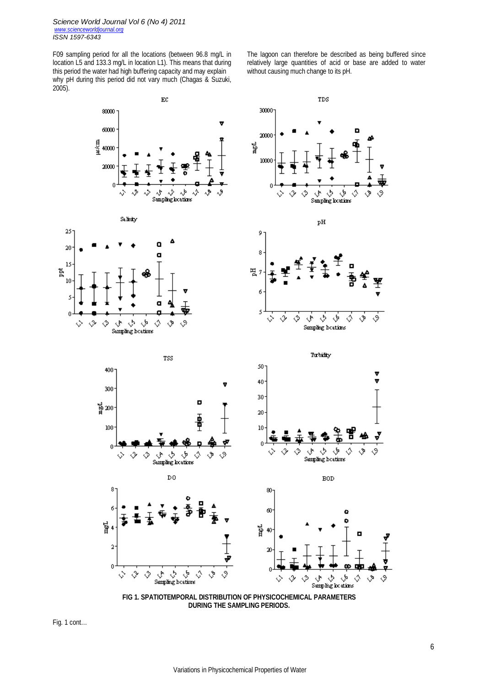F09 sampling period for all the locations (between 96.8 mg/L in location L5 and 133.3 mg/L in location L1). This means that during this period the water had high buffering capacity and may explain why pH during this period did not vary much (Chagas & Suzuki, 2005).

The lagoon can therefore be described as being buffered since relatively large quantities of acid or base are added to water without causing much change to its pH.



**DURING THE SAMPLING PERIODS.**

Fig. 1 cont…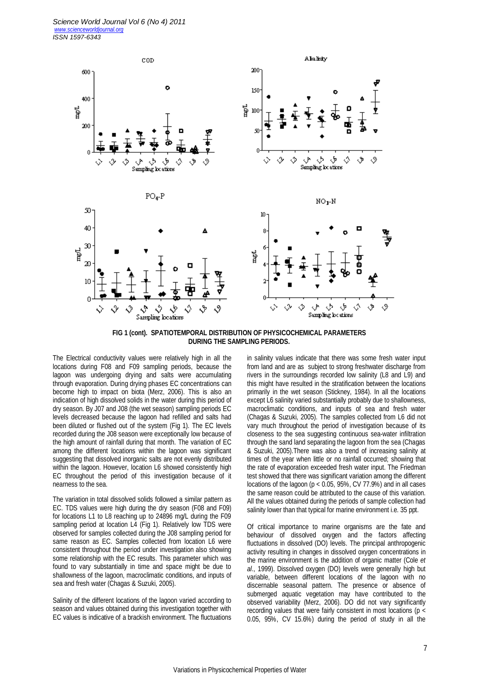

**FIG 1 (cont). SPATIOTEMPORAL DISTRIBUTION OF PHYSICOCHEMICAL PARAMETERS DURING THE SAMPLING PERIODS.**

The Electrical conductivity values were relatively high in all the locations during F08 and F09 sampling periods, because the lagoon was undergoing drying and salts were accumulating through evaporation. During drying phases EC concentrations can become high to impact on biota (Merz, 2006). This is also an indication of high dissolved solids in the water during this period of dry season. By J07 and J08 (the wet season) sampling periods EC levels decreased because the lagoon had refilled and salts had been diluted or flushed out of the system (Fig 1). The EC levels recorded during the J08 season were exceptionally low because of the high amount of rainfall during that month. The variation of EC among the different locations within the lagoon was significant suggesting that dissolved inorganic salts are not evenly distributed within the lagoon. However, location L6 showed consistently high EC throughout the period of this investigation because of it nearness to the sea.

The variation in total dissolved solids followed a similar pattern as EC. TDS values were high during the dry season (F08 and F09) for locations L1 to L8 reaching up to 24896 mg/L during the F09 sampling period at location L4 (Fig 1). Relatively low TDS were observed for samples collected during the J08 sampling period for same reason as EC. Samples collected from location L6 were consistent throughout the period under investigation also showing some relationship with the EC results. This parameter which was found to vary substantially in time and space might be due to shallowness of the lagoon, macroclimatic conditions, and inputs of sea and fresh water (Chagas & Suzuki, 2005).

Salinity of the different locations of the lagoon varied according to season and values obtained during this investigation together with EC values is indicative of a brackish environment. The fluctuations in salinity values indicate that there was some fresh water input from land and are as subject to strong freshwater discharge from rivers in the surroundings recorded low salinity (L8 and L9) and this might have resulted in the stratification between the locations primarily in the wet season (Stickney, 1984). In all the locations except L6 salinity varied substantially probably due to shallowness, macroclimatic conditions, and inputs of sea and fresh water (Chagas & Suzuki, 2005). The samples collected from L6 did not vary much throughout the period of investigation because of its closeness to the sea suggesting continuous sea-water infiltration through the sand land separating the lagoon from the sea (Chagas & Suzuki, 2005).There was also a trend of increasing salinity at times of the year when little or no rainfall occurred; showing that the rate of evaporation exceeded fresh water input. The Friedman test showed that there was significant variation among the different locations of the lagoon ( $p < 0.05$ , 95%, CV 77.9%) and in all cases the same reason could be attributed to the cause of this variation. All the values obtained during the periods of sample collection had salinity lower than that typical for marine environment i.e. 35 ppt.

Of critical importance to marine organisms are the fate and behaviour of dissolved oxygen and the factors affecting fluctuations in dissolved (DO) levels. The principal anthropogenic activity resulting in changes in dissolved oxygen concentrations in the marine environment is the addition of organic matter (Cole *et al*., 1999). Dissolved oxygen (DO) levels were generally high but variable, between different locations of the lagoon with no discernable seasonal pattern. The presence or absence of submerged aquatic vegetation may have contributed to the observed variability (Merz, 2006). DO did not vary significantly recording values that were fairly consistent in most locations (p < 0.05, 95%, CV 15.6%) during the period of study in all the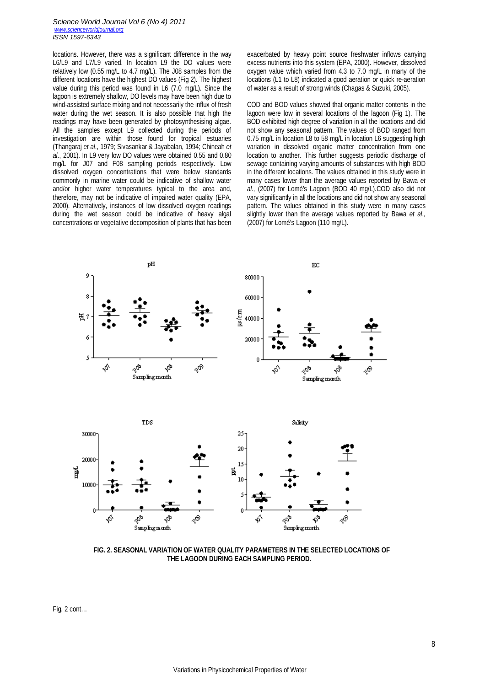#### *Science World Journal Vol 6 (No 4) 2011 www.scienceworldjournal.org ISSN 1597-6343*

locations. However, there was a significant difference in the way L6/L9 and L7/L9 varied. In location L9 the DO values were relatively low (0.55 mg/L to 4.7 mg/L). The J08 samples from the different locations have the highest DO values (Fig 2). The highest value during this period was found in L6 (7.0 mg/L). Since the lagoon is extremely shallow, DO levels may have been high due to wind-assisted surface mixing and not necessarily the influx of fresh water during the wet season. It is also possible that high the readings may have been generated by photosynthesising algae. All the samples except L9 collected during the periods of investigation are within those found for tropical estuaries (Thangaraj *et al*., 1979; Sivasankar & Jayabalan, 1994; Chineah *et al*., 2001). In L9 very low DO values were obtained 0.55 and 0.80 mg/L for J07 and F08 sampling periods respectively. Low dissolved oxygen concentrations that were below standards commonly in marine water could be indicative of shallow water and/or higher water temperatures typical to the area and, therefore, may not be indicative of impaired water quality (EPA, 2000). Alternatively, instances of low dissolved oxygen readings during the wet season could be indicative of heavy algal concentrations or vegetative decomposition of plants that has been exacerbated by heavy point source freshwater inflows carrying excess nutrients into this system (EPA, 2000). However, dissolved oxygen value which varied from 4.3 to 7.0 mg/L in many of the locations (L1 to L8) indicated a good aeration or quick re-aeration of water as a result of strong winds (Chagas & Suzuki, 2005).

COD and BOD values showed that organic matter contents in the lagoon were low in several locations of the lagoon (Fig 1). The BOD exhibited high degree of variation in all the locations and did not show any seasonal pattern. The values of BOD ranged from 0.75 mg/L in location L8 to 58 mg/L in location L6 suggesting high variation in dissolved organic matter concentration from one location to another. This further suggests periodic discharge of sewage containing varying amounts of substances with high BOD in the different locations. The values obtained in this study were in many cases lower than the average values reported by Bawa *et al*.*,* (2007) for Lomé's Lagoon (BOD 40 mg/L).COD also did not vary significantly in all the locations and did not show any seasonal pattern. The values obtained in this study were in many cases slightly lower than the average values reported by Bawa *et al*.*,* (2007) for Lomé's Lagoon (110 mg/L).





**FIG. 2. SEASONAL VARIATION OF WATER QUALITY PARAMETERS IN THE SELECTED LOCATIONS OF THE LAGOON DURING EACH SAMPLING PERIOD.**

Fig. 2 cont…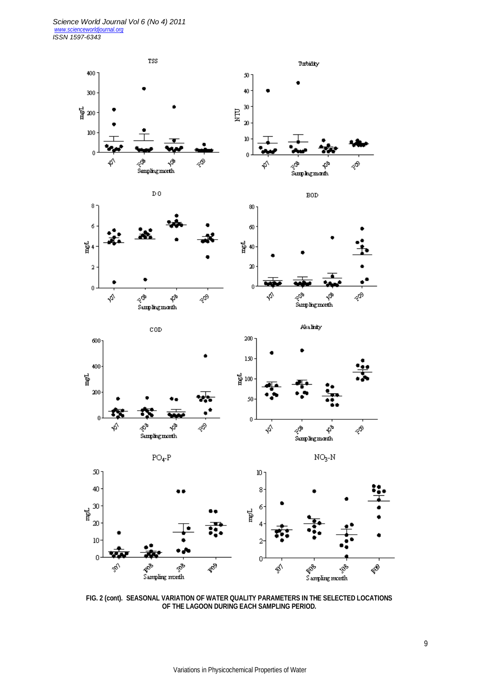

**FIG. 2 (cont). SEASONAL VARIATION OF WATER QUALITY PARAMETERS IN THE SELECTED LOCATIONS OF THE LAGOON DURING EACH SAMPLING PERIOD.**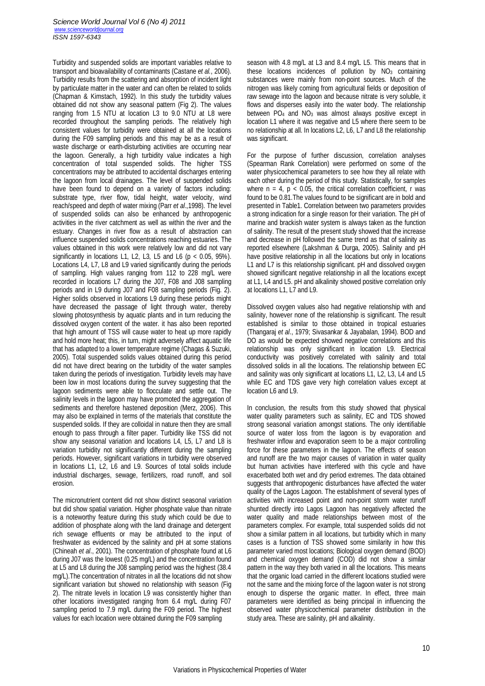Turbidity and suspended solids are important variables relative to transport and bioavailability of contaminants (Castane *et al.*, 2006). Turbidity results from the scattering and absorption of incident light by particulate matter in the water and can often be related to solids (Chapman & Kimstach, 1992). In this study the turbidity values obtained did not show any seasonal pattern (Fig 2). The values ranging from 1.5 NTU at location L3 to 9.0 NTU at L8 were recorded throughout the sampling periods. The relatively high consistent values for turbidity were obtained at all the locations during the F09 sampling periods and this may be as a result of waste discharge or earth-disturbing activities are occurring near the lagoon. Generally, a high turbidity value indicates a high concentration of total suspended solids. The higher TSS concentrations may be attributed to accidental discharges entering the lagoon from local drainages. The level of suspended solids have been found to depend on a variety of factors including: substrate type, river flow, tidal height, water velocity, wind reach/speed and depth of water mixing (Parr *et al*.,1998). The level of suspended solids can also be enhanced by anthropogenic activities in the river catchment as well as within the river and the estuary. Changes in river flow as a result of abstraction can influence suspended solids concentrations reaching estuaries. The values obtained in this work were relatively low and did not vary significantly in locations L1, L2, L3, L5 and L6 ( $p < 0.05$ , 95%). Locations L4, L7, L8 and L9 varied significantly during the periods of sampling. High values ranging from 112 to 228 mg/L were recorded in locations L7 during the J07, F08 and J08 sampling periods and in L9 during J07 and F08 sampling periods (Fig. 2). Higher solids observed in locations L9 during these periods might have decreased the passage of light through water, thereby slowing photosynthesis by aquatic plants and in turn reducing the dissolved oxygen content of the water. it has also been reported that high amount of TSS will cause water to heat up more rapidly and hold more heat; this, in turn, might adversely affect aquatic life that has adapted to a lower temperature regime (Chagas & Suzuki, 2005). Total suspended solids values obtained during this period did not have direct bearing on the turbidity of the water samples taken during the periods of investigation. Turbidity levels may have been low in most locations during the survey suggesting that the lagoon sediments were able to flocculate and settle out. The salinity levels in the lagoon may have promoted the aggregation of sediments and therefore hastened deposition (Merz, 2006). This may also be explained in terms of the materials that constitute the suspended solids. If they are colloidal in nature then they are small enough to pass through a filter paper. Turbidity like TSS did not show any seasonal variation and locations L4, L5, L7 and L8 is variation turbidity not significantly different during the sampling periods. However, significant variations in turbidity were observed in locations L1, L2, L6 and L9. Sources of total solids include industrial discharges, sewage, fertilizers, road runoff, and soil erosion.

The micronutrient content did not show distinct seasonal variation but did show spatial variation. Higher phosphate value than nitrate is a noteworthy feature during this study which could be due to addition of phosphate along with the land drainage and detergent rich sewage effluents or may be attributed to the input of freshwater as evidenced by the salinity and pH at some stations (Chineah *et al*., 2001). The concentration of phosphate found at L6 during J07 was the lowest (0.25 mg/L) and the concentration found at L5 and L8 during the J08 sampling period was the highest (38.4 mg/L).The concentration of nitrates in all the locations did not show significant variation but showed no relationship with season (Fig 2). The nitrate levels in location L9 was consistently higher than other locations investigated ranging from 6.4 mg/L during F07 sampling period to 7.9 mg/L during the F09 period. The highest values for each location were obtained during the F09 sampling

season with 4.8 mg/L at L3 and 8.4 mg/L L5. This means that in these locations incidences of pollution by  $NO<sub>3</sub>$  containing substances were mainly from non-point sources. Much of the nitrogen was likely coming from agricultural fields or deposition of raw sewage into the lagoon and because nitrate is very soluble, it flows and disperses easily into the water body. The relationship between PO<sub>4</sub> and NO<sub>3</sub> was almost always positive except in location L1 where it was negative and L5 where there seem to be no relationship at all. In locations L2, L6, L7 and L8 the relationship was significant.

For the purpose of further discussion, correlation analyses (Spearman Rank Correlation) were performed on some of the water physicochemical parameters to see how they all relate with each other during the period of this study. Statistically, for samples where  $n = 4$ ,  $p < 0.05$ , the critical correlation coefficient, r was found to be 0.81.The values found to be significant are in bold and presented in Table1. Correlation between two parameters provides a strong indication for a single reason for their variation. The pH of marine and brackish water system is always taken as the function of salinity. The result of the present study showed that the increase and decrease in pH followed the same trend as that of salinity as reported elsewhere (Lakshman & Durga, 2005). Salinity and pH have positive relationship in all the locations but only in locations L1 and L7 is this relationship significant. pH and dissolved oxygen showed significant negative relationship in all the locations except at L1, L4 and L5. pH and alkalinity showed positive correlation only at locations L1, L7 and L9.

Dissolved oxygen values also had negative relationship with and salinity, however none of the relationship is significant. The result established is similar to those obtained in tropical estuaries (Thangaraj *et al*., 1979; Sivasankar & Jayabalan, 1994). BOD and DO as would be expected showed negative correlations and this relationship was only significant in location L9. Electrical conductivity was positively correlated with salinity and total dissolved solids in all the locations. The relationship between EC and salinity was only significant at locations L1, L2, L3, L4 and L5 while EC and TDS gave very high correlation values except at location L6 and L9.

In conclusion, the results from this study showed that physical water quality parameters such as salinity, EC and TDS showed strong seasonal variation amongst stations. The only identifiable source of water loss from the lagoon is by evaporation and freshwater inflow and evaporation seem to be a major controlling force for these parameters in the lagoon. The effects of season and runoff are the two major causes of variation in water quality but human activities have interfered with this cycle and have exacerbated both wet and dry period extremes. The data obtained suggests that anthropogenic disturbances have affected the water quality of the Lagos Lagoon. The establishment of several types of activities with increased point and non-point storm water runoff shunted directly into Lagos Lagoon has negatively affected the water quality and made relationships between most of the parameters complex. For example, total suspended solids did not show a similar pattern in all locations, but turbidity which in many cases is a function of TSS showed some similarity in how this parameter varied most locations; Biological oxygen demand (BOD) and chemical oxygen demand (COD) did not show a similar pattern in the way they both varied in all the locations. This means that the organic load carried in the different locations studied were not the same and the mixing force of the lagoon water is not strong enough to disperse the organic matter. In effect, three main parameters were identified as being principal in influencing the observed water physicochemical parameter distribution in the study area. These are salinity, pH and alkalinity.